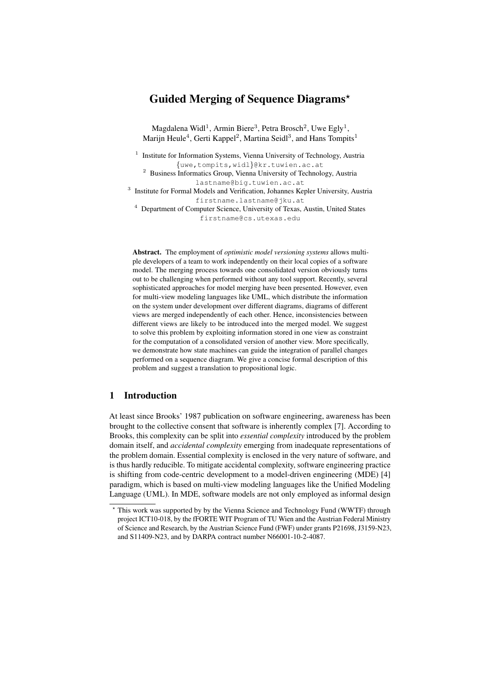# Guided Merging of Sequence Diagrams?

Magdalena Widl<sup>1</sup>, Armin Biere<sup>3</sup>, Petra Brosch<sup>2</sup>, Uwe Egly<sup>1</sup>, Marijn Heule<sup>4</sup>, Gerti Kappel<sup>2</sup>, Martina Seidl<sup>3</sup>, and Hans Tompits<sup>1</sup>

<sup>1</sup> Institute for Information Systems, Vienna University of Technology, Austria {uwe,tompits,widl}@kr.tuwien.ac.at

<sup>2</sup> Business Informatics Group, Vienna University of Technology, Austria lastname@big.tuwien.ac.at

<sup>3</sup> Institute for Formal Models and Verification, Johannes Kepler University, Austria firstname.lastname@jku.at

<sup>4</sup> Department of Computer Science, University of Texas, Austin, United States firstname@cs.utexas.edu

Abstract. The employment of *optimistic model versioning systems* allows multiple developers of a team to work independently on their local copies of a software model. The merging process towards one consolidated version obviously turns out to be challenging when performed without any tool support. Recently, several sophisticated approaches for model merging have been presented. However, even for multi-view modeling languages like UML, which distribute the information on the system under development over different diagrams, diagrams of different views are merged independently of each other. Hence, inconsistencies between different views are likely to be introduced into the merged model. We suggest to solve this problem by exploiting information stored in one view as constraint for the computation of a consolidated version of another view. More specifically, we demonstrate how state machines can guide the integration of parallel changes performed on a sequence diagram. We give a concise formal description of this problem and suggest a translation to propositional logic.

# 1 Introduction

At least since Brooks' 1987 publication on software engineering, awareness has been brought to the collective consent that software is inherently complex [7]. According to Brooks, this complexity can be split into *essential complexity* introduced by the problem domain itself, and *accidental complexity* emerging from inadequate representations of the problem domain. Essential complexity is enclosed in the very nature of software, and is thus hardly reducible. To mitigate accidental complexity, software engineering practice is shifting from code-centric development to a model-driven engineering (MDE) [4] paradigm, which is based on multi-view modeling languages like the Unified Modeling Language (UML). In MDE, software models are not only employed as informal design

<sup>?</sup> This work was supported by by the Vienna Science and Technology Fund (WWTF) through project ICT10-018, by the fFORTE WIT Program of TU Wien and the Austrian Federal Ministry of Science and Research, by the Austrian Science Fund (FWF) under grants P21698, J3159-N23, and S11409-N23, and by DARPA contract number N66001-10-2-4087.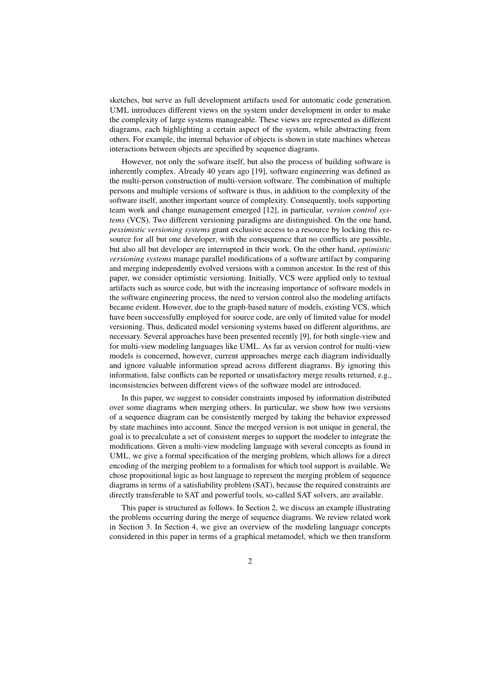sketches, but serve as full development artifacts used for automatic code generation. UML introduces different views on the system under development in order to make the complexity of large systems manageable. These views are represented as different diagrams, each highlighting a certain aspect of the system, while abstracting from others. For example, the internal behavior of objects is shown in state machines whereas interactions between objects are specified by sequence diagrams.

However, not only the sofware itself, but also the process of building software is inherently complex. Already 40 years ago [19], software engineering was defined as the multi-person construction of multi-version software. The combination of multiple persons and multiple versions of software is thus, in addition to the complexity of the software itself, another important source of complexity. Consequently, tools supporting team work and change management emerged [12], in particular, *version control systems* (VCS). Two different versioning paradigms are distinguished. On the one hand, *pessimistic versioning systems* grant exclusive access to a resource by locking this resource for all but one developer, with the consequence that no conflicts are possible, but also all but developer are interrupted in their work. On the other hand, *optimistic versioning systems* manage parallel modifications of a software artifact by comparing and merging independently evolved versions with a common ancestor. In the rest of this paper, we consider optimistic versioning. Initially, VCS were applied only to textual artifacts such as source code, but with the increasing importance of software models in the software engineering process, the need to version control also the modeling artifacts became evident. However, due to the graph-based nature of models, existing VCS, which have been successfully employed for source code, are only of limited value for model versioning. Thus, dedicated model versioning systems based on different algorithms, are necessary. Several approaches have been presented recently [9], for both single-view and for multi-view modeling languages like UML. As far as version control for multi-view models is concerned, however, current approaches merge each diagram individually and ignore valuable information spread across different diagrams. By ignoring this information, false conflicts can be reported or unsatisfactory merge results returned, e.g., inconsistencies between different views of the software model are introduced.

In this paper, we suggest to consider constraints imposed by information distributed over some diagrams when merging others. In particular, we show how two versions of a sequence diagram can be consistently merged by taking the behavior expressed by state machines into account. Since the merged version is not unique in general, the goal is to precalculate a set of consistent merges to support the modeler to integrate the modifications. Given a multi-view modeling language with several concepts as found in UML, we give a formal specification of the merging problem, which allows for a direct encoding of the merging problem to a formalism for which tool support is available. We chose propositional logic as host language to represent the merging problem of sequence diagrams in terms of a satisfiability problem (SAT), because the required constraints are directly transferable to SAT and powerful tools, so-called SAT solvers, are available.

This paper is structured as follows. In Section 2, we discuss an example illustrating the problems occurring during the merge of sequence diagrams. We review related work in Section 3. In Section 4, we give an overview of the modeling language concepts considered in this paper in terms of a graphical metamodel, which we then transform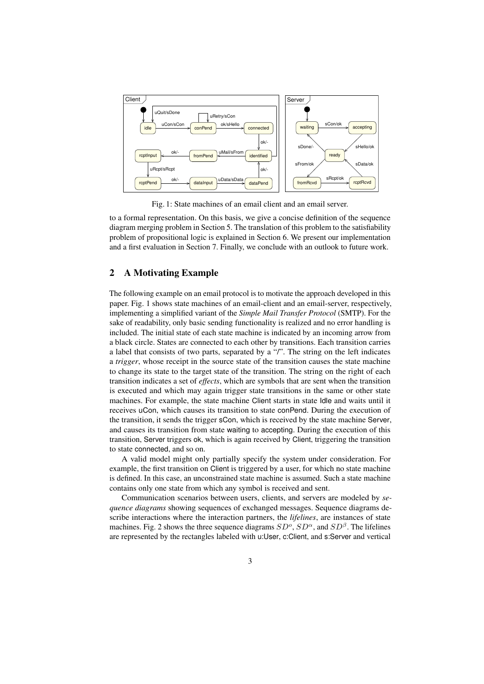

Fig. 1: State machines of an email client and an email server.

to a formal representation. On this basis, we give a concise definition of the sequence diagram merging problem in Section 5. The translation of this problem to the satisfiability problem of propositional logic is explained in Section 6. We present our implementation and a first evaluation in Section 7. Finally, we conclude with an outlook to future work.

# 2 A Motivating Example

The following example on an email protocol is to motivate the approach developed in this paper. Fig. 1 shows state machines of an email-client and an email-server, respectively, implementing a simplified variant of the *Simple Mail Transfer Protocol* (SMTP). For the sake of readability, only basic sending functionality is realized and no error handling is included. The initial state of each state machine is indicated by an incoming arrow from a black circle. States are connected to each other by transitions. Each transition carries a label that consists of two parts, separated by a "/". The string on the left indicates a *trigger*, whose receipt in the source state of the transition causes the state machine to change its state to the target state of the transition. The string on the right of each transition indicates a set of *effects*, which are symbols that are sent when the transition is executed and which may again trigger state transitions in the same or other state machines. For example, the state machine Client starts in state Idle and waits until it receives uCon, which causes its transition to state conPend. During the execution of the transition, it sends the trigger sCon, which is received by the state machine Server, and causes its transition from state waiting to accepting. During the execution of this transition, Server triggers ok, which is again received by Client, triggering the transition to state connected, and so on.

A valid model might only partially specify the system under consideration. For example, the first transition on Client is triggered by a user, for which no state machine is defined. In this case, an unconstrained state machine is assumed. Such a state machine contains only one state from which any symbol is received and sent.

Communication scenarios between users, clients, and servers are modeled by *sequence diagrams* showing sequences of exchanged messages. Sequence diagrams describe interactions where the interaction partners, the *lifelines*, are instances of state machines. Fig. 2 shows the three sequence diagrams  $SD^o$ ,  $SD^{\alpha}$ , and  $SD^{\beta}$ . The lifelines are represented by the rectangles labeled with u:User, c:Client, and s:Server and vertical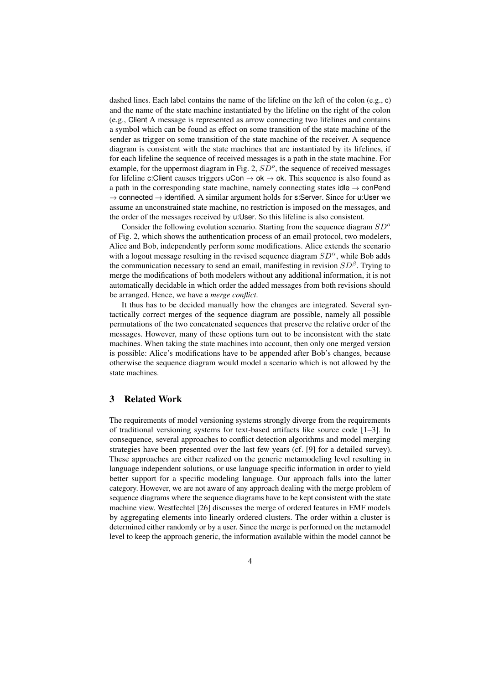dashed lines. Each label contains the name of the lifeline on the left of the colon (e.g., c) and the name of the state machine instantiated by the lifeline on the right of the colon (e.g., Client A message is represented as arrow connecting two lifelines and contains a symbol which can be found as effect on some transition of the state machine of the sender as trigger on some transition of the state machine of the receiver. A sequence diagram is consistent with the state machines that are instantiated by its lifelines, if for each lifeline the sequence of received messages is a path in the state machine. For example, for the uppermost diagram in Fig. 2,  $SD<sup>o</sup>$ , the sequence of received messages for lifeline c:Client causes triggers  $uCon \rightarrow ok \rightarrow ok$ . This sequence is also found as a path in the corresponding state machine, namely connecting states idle  $\rightarrow$  conPend  $\rightarrow$  connected  $\rightarrow$  identified. A similar argument holds for s:Server. Since for u:User we assume an unconstrained state machine, no restriction is imposed on the messages, and the order of the messages received by u:User. So this lifeline is also consistent.

Consider the following evolution scenario. Starting from the sequence diagram  $SD^{\circ}$ of Fig. 2, which shows the authentication process of an email protocol, two modelers, Alice and Bob, independently perform some modifications. Alice extends the scenario with a logout message resulting in the revised sequence diagram  $SD^{\alpha}$ , while Bob adds the communication necessary to send an email, manifesting in revision  $SD^{\beta}$ . Trying to merge the modifications of both modelers without any additional information, it is not automatically decidable in which order the added messages from both revisions should be arranged. Hence, we have a *merge conflict*.

It thus has to be decided manually how the changes are integrated. Several syntactically correct merges of the sequence diagram are possible, namely all possible permutations of the two concatenated sequences that preserve the relative order of the messages. However, many of these options turn out to be inconsistent with the state machines. When taking the state machines into account, then only one merged version is possible: Alice's modifications have to be appended after Bob's changes, because otherwise the sequence diagram would model a scenario which is not allowed by the state machines.

### 3 Related Work

The requirements of model versioning systems strongly diverge from the requirements of traditional versioning systems for text-based artifacts like source code [1–3]. In consequence, several approaches to conflict detection algorithms and model merging strategies have been presented over the last few years (cf. [9] for a detailed survey). These approaches are either realized on the generic metamodeling level resulting in language independent solutions, or use language specific information in order to yield better support for a specific modeling language. Our approach falls into the latter category. However, we are not aware of any approach dealing with the merge problem of sequence diagrams where the sequence diagrams have to be kept consistent with the state machine view. Westfechtel [26] discusses the merge of ordered features in EMF models by aggregating elements into linearly ordered clusters. The order within a cluster is determined either randomly or by a user. Since the merge is performed on the metamodel level to keep the approach generic, the information available within the model cannot be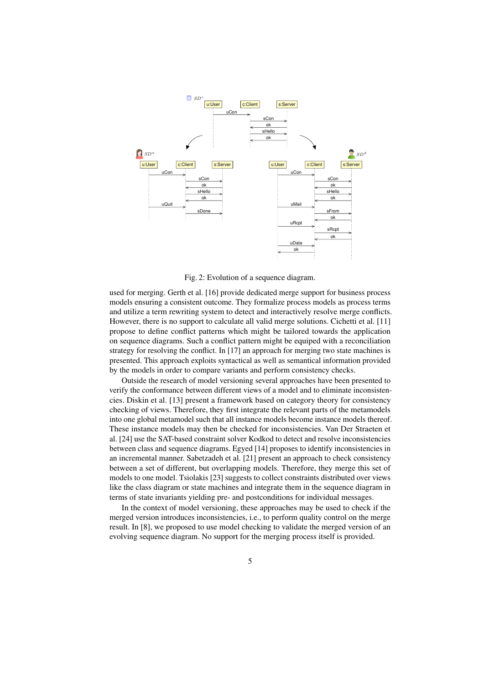

Fig. 2: Evolution of a sequence diagram.

used for merging. Gerth et al. [16] provide dedicated merge support for business process models ensuring a consistent outcome. They formalize process models as process terms and utilize a term rewriting system to detect and interactively resolve merge conflicts. However, there is no support to calculate all valid merge solutions. Cichetti et al. [11] propose to define conflict patterns which might be tailored towards the application on sequence diagrams. Such a conflict pattern might be equiped with a reconciliation strategy for resolving the conflict. In [17] an approach for merging two state machines is presented. This approach exploits syntactical as well as semantical information provided by the models in order to compare variants and perform consistency checks.

Outside the research of model versioning several approaches have been presented to verify the conformance between different views of a model and to eliminate inconsistencies. Diskin et al. [13] present a framework based on category theory for consistency checking of views. Therefore, they first integrate the relevant parts of the metamodels into one global metamodel such that all instance models become instance models thereof. These instance models may then be checked for inconsistencies. Van Der Straeten et al. [24] use the SAT-based constraint solver Kodkod to detect and resolve inconsistencies between class and sequence diagrams. Egyed [14] proposes to identify inconsistencies in an incremental manner. Sabetzadeh et al. [21] present an approach to check consistency between a set of different, but overlapping models. Therefore, they merge this set of models to one model. Tsiolakis [23] suggests to collect constraints distributed over views like the class diagram or state machines and integrate them in the sequence diagram in terms of state invariants yielding pre- and postconditions for individual messages.

In the context of model versioning, these approaches may be used to check if the merged version introduces inconsistencies, i.e., to perform quality control on the merge result. In [8], we proposed to use model checking to validate the merged version of an evolving sequence diagram. No support for the merging process itself is provided.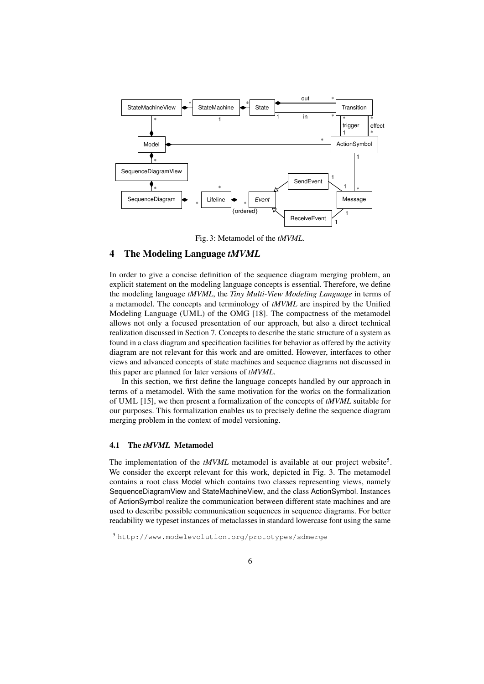

Fig. 3: Metamodel of the *tMVML*.

# 4 The Modeling Language *tMVML*

In order to give a concise definition of the sequence diagram merging problem, an explicit statement on the modeling language concepts is essential. Therefore, we define the modeling language *tMVML*, the *Tiny Multi-View Modeling Language* in terms of a metamodel. The concepts and terminology of *tMVML* are inspired by the Unified Modeling Language (UML) of the OMG [18]. The compactness of the metamodel allows not only a focused presentation of our approach, but also a direct technical realization discussed in Section 7. Concepts to describe the static structure of a system as found in a class diagram and specification facilities for behavior as offered by the activity diagram are not relevant for this work and are omitted. However, interfaces to other views and advanced concepts of state machines and sequence diagrams not discussed in this paper are planned for later versions of *tMVML*.

In this section, we first define the language concepts handled by our approach in terms of a metamodel. With the same motivation for the works on the formalization of UML [15], we then present a formalization of the concepts of *tMVML* suitable for our purposes. This formalization enables us to precisely define the sequence diagram merging problem in the context of model versioning.

#### 4.1 The *tMVML* Metamodel

The implementation of the tMVML metamodel is available at our project website<sup>5</sup>. We consider the excerpt relevant for this work, depicted in Fig. 3. The metamodel contains a root class Model which contains two classes representing views, namely SequenceDiagramView and StateMachineView, and the class ActionSymbol. Instances of ActionSymbol realize the communication between different state machines and are used to describe possible communication sequences in sequence diagrams. For better readability we typeset instances of metaclasses in standard lowercase font using the same

<sup>5</sup> http://www.modelevolution.org/prototypes/sdmerge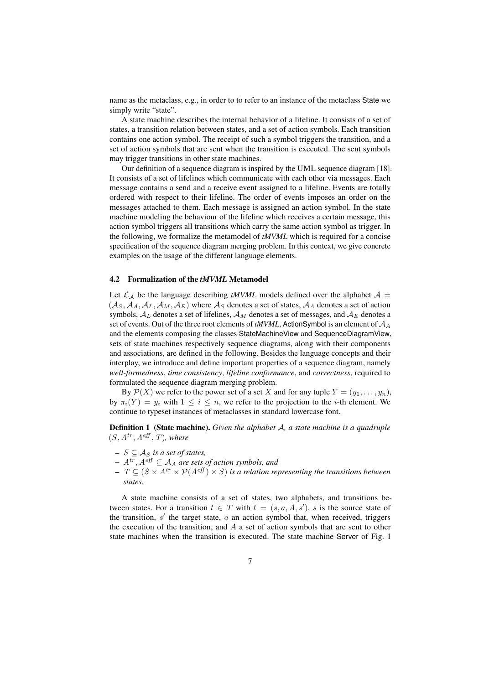name as the metaclass, e.g., in order to to refer to an instance of the metaclass State we simply write "state".

A state machine describes the internal behavior of a lifeline. It consists of a set of states, a transition relation between states, and a set of action symbols. Each transition contains one action symbol. The receipt of such a symbol triggers the transition, and a set of action symbols that are sent when the transition is executed. The sent symbols may trigger transitions in other state machines.

Our definition of a sequence diagram is inspired by the UML sequence diagram [18]. It consists of a set of lifelines which communicate with each other via messages. Each message contains a send and a receive event assigned to a lifeline. Events are totally ordered with respect to their lifeline. The order of events imposes an order on the messages attached to them. Each message is assigned an action symbol. In the state machine modeling the behaviour of the lifeline which receives a certain message, this action symbol triggers all transitions which carry the same action symbol as trigger. In the following, we formalize the metamodel of *tMVML* which is required for a concise specification of the sequence diagram merging problem. In this context, we give concrete examples on the usage of the different language elements.

#### 4.2 Formalization of the *tMVML* Metamodel

Let  $\mathcal{L}_\mathcal{A}$  be the language describing *tMVML* models defined over the alphabet  $\mathcal{A} =$  $(A_S, A_A, A_L, A_M, A_E)$  where  $A_S$  denotes a set of states,  $A_A$  denotes a set of action symbols,  $A_L$  denotes a set of lifelines,  $A_M$  denotes a set of messages, and  $A_E$  denotes a set of events. Out of the three root elements of  $tMVML$ , ActionSymbol is an element of  $A_A$ and the elements composing the classes StateMachineView and SequenceDiagramView, sets of state machines respectively sequence diagrams, along with their components and associations, are defined in the following. Besides the language concepts and their interplay, we introduce and define important properties of a sequence diagram, namely *well-formedness*, *time consistency*, *lifeline conformance*, and *correctness*, required to formulated the sequence diagram merging problem.

By  $\mathcal{P}(X)$  we refer to the power set of a set X and for any tuple  $Y = (y_1, \ldots, y_n)$ , by  $\pi_i(Y) = y_i$  with  $1 \leq i \leq n$ , we refer to the projection to the *i*-th element. We continue to typeset instances of metaclasses in standard lowercase font.

Definition 1 (State machine). *Given the alphabet* A*, a state machine is a quadruple*  $(S, A^{tr}, A^{ef\!f}, T)$ *, where* 

- $− S ⊆ A<sub>S</sub>$  *is a set of states,*
- $A<sup>tr</sup>, A<sup>eff</sup> \subseteq A<sub>A</sub>$  are sets of action symbols, and
- $-$  T ⊆ (S  $\times$  A<sup>tr</sup>  $\times$  P(A<sup>eff</sup>)  $\times$  S) is a relation representing the transitions between *states.*

A state machine consists of a set of states, two alphabets, and transitions between states. For a transition  $t \in T$  with  $t = (s, a, A, s')$ , s is the source state of the transition,  $s'$  the target state,  $a$  an action symbol that, when received, triggers the execution of the transition, and  $A$  a set of action symbols that are sent to other state machines when the transition is executed. The state machine Server of Fig. 1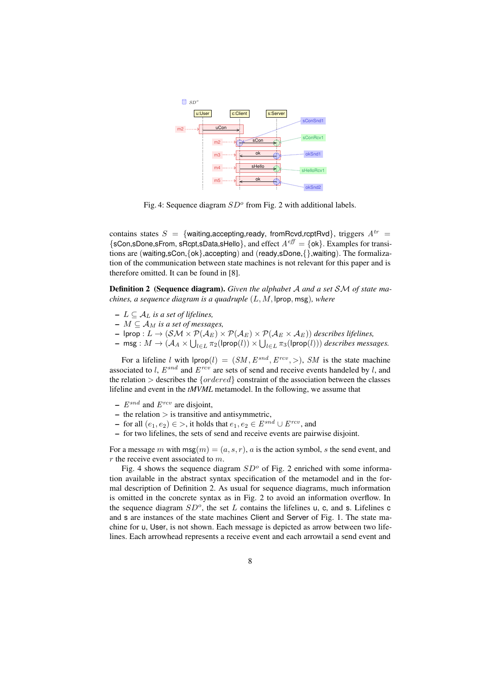

Fig. 4: Sequence diagram  $SD<sup>o</sup>$  from Fig. 2 with additional labels.

contains states  $S = \{$ waiting, accepting, ready, from Rcvd, rcptRvd $\}$ , triggers  $A^{tr} =$  $\{sCon, SDone, sFrom, sRept, sData, sHeIlo\}$ , and effect  $A^{eff} = \{ok\}$ . Examples for transitions are (waiting,sCon,{ok},accepting) and (ready,sDone,{},waiting). The formalization of the communication between state machines is not relevant for this paper and is therefore omitted. It can be found in [8].

Definition 2 (Sequence diagram). *Given the alphabet* A *and a set* SM *of state machines, a sequence diagram is a quadruple* (L, M, lprop, msg)*, where*

- $− L ⊆ A<sub>L</sub>$  *is a set of lifelines,*
- $-M \subseteq A_M$  *is a set of messages,*
- lprop : L → (SM × P(A<sup>E</sup> ) × P(A<sup>E</sup> ) × P(A<sup>E</sup> × A<sup>E</sup> )) *describes lifelines,*
- $-$  msg :  $M \to (\mathcal{A}_A \times \bigcup_{l \in L} \pi_2(\mathsf{lprop}(l)) \times \bigcup_{l \in L} \pi_3(\mathsf{lprop}(l)))$  describes messages.

For a lifeline l with  $|$ prop $(l) = (SM, E^{snd}, E^{rcv},>)$ , SM is the state machine associated to l,  $E^{snd}$  and  $E^{rcv}$  are sets of send and receive events handeled by l, and the relation  $>$  describes the  ${ordered}$  constraint of the association between the classes lifeline and event in the *tMVML* metamodel. In the following, we assume that

- $E^{snd}$  and  $E^{rcv}$  are disjoint,
- $-$  the relation  $>$  is transitive and antisymmetric,
- − for all  $(e_1, e_2) \in \gt$ , it holds that  $e_1, e_2 \in E^{snd} \cup E^{rcv}$ , and
- for two lifelines, the sets of send and receive events are pairwise disjoint.

For a message m with  $msg(m) = (a, s, r)$ , a is the action symbol, s the send event, and  $r$  the receive event associated to  $m$ .

Fig. 4 shows the sequence diagram  $SD^{\circ}$  of Fig. 2 enriched with some information available in the abstract syntax specification of the metamodel and in the formal description of Definition 2. As usual for sequence diagrams, much information is omitted in the concrete syntax as in Fig. 2 to avoid an information overflow. In the sequence diagram  $SD^o$ , the set L contains the lifelines u, c, and s. Lifelines c and s are instances of the state machines Client and Server of Fig. 1. The state machine for u, User, is not shown. Each message is depicted as arrow between two lifelines. Each arrowhead represents a receive event and each arrowtail a send event and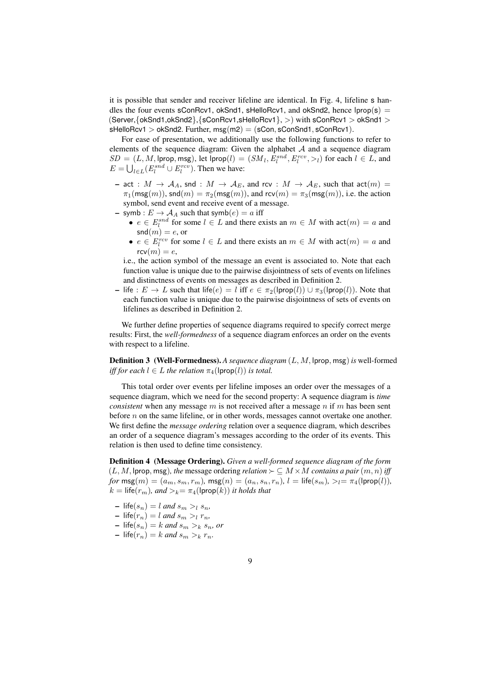it is possible that sender and receiver lifeline are identical. In Fig. 4, lifeline s handles the four events sConRcv1, okSnd1, sHelloRcv1, and okSnd2, hence  $\text{lprop}(s)$  = (Server,{okSnd1,okSnd2},{sConRcv1,sHelloRcv1}, >) with sConRcv1 > okSnd1 >  $s$ HelloRcv1 > okSnd2. Further,  $msg(m2) = (sCon, sConSnd1, sConRcv1)$ .

For ease of presentation, we additionally use the following functions to refer to elements of the sequence diagram: Given the alphabet  $A$  and a sequence diagram  $SD = (L, M, \text{lprop}, \text{msg}), \text{ let } \text{lprop}(l) = (SM_l, E_l^{snd}, E_l^{rcv}, >_l) \text{ for each } l \in L, \text{ and }$  $E = \bigcup_{l \in L} (E_l^{snd} \cup E_l^{rcv})$ . Then we have:

- act :  $M \to A_A$ , snd :  $M \to A_E$ , and rcv :  $M \to A_E$ , such that act $(m)$  =  $\pi_1(\text{msg}(m))$ , snd $(m) = \pi_2(\text{msg}(m))$ , and  $\text{rcv}(m) = \pi_3(\text{msg}(m))$ , i.e. the action symbol, send event and receive event of a message.
- symb :  $E \rightarrow A_A$  such that symb $(e) = a$  iff
	- $e \in E_l^{snd}$  for some  $l \in L$  and there exists an  $m \in M$  with  $act(m) = a$  and  $\mathsf{snd}(m) = e$ , or
	- $e \in E_l^{rev}$  for some  $l \in L$  and there exists an  $m \in M$  with  $act(m) = a$  and  $rcv(m) = e$ ,

i.e., the action symbol of the message an event is associated to. Note that each function value is unique due to the pairwise disjointness of sets of events on lifelines and distinctness of events on messages as described in Definition 2.

– life :  $E \to L$  such that life(e) = l iff  $e \in \pi_2(\text{prop}(l)) \cup \pi_3(\text{prop}(l))$ . Note that each function value is unique due to the pairwise disjointness of sets of events on lifelines as described in Definition 2.

We further define properties of sequence diagrams required to specify correct merge results: First, the *well-formedness* of a sequence diagram enforces an order on the events with respect to a lifeline.

Definition 3 (Well-Formedness). *A sequence diagram* (L, M, lprop, msg)*is* well-formed *iff for each*  $l \in L$  *the relation*  $\pi$ <sub>4</sub>( $\text{lprop}(l)$ ) *is total.* 

This total order over events per lifeline imposes an order over the messages of a sequence diagram, which we need for the second property: A sequence diagram is *time consistent* when any message  $m$  is not received after a message  $n$  if  $m$  has been sent before  $n$  on the same lifeline, or in other words, messages cannot overtake one another. We first define the *message ordering* relation over a sequence diagram, which describes an order of a sequence diagram's messages according to the order of its events. This relation is then used to define time consistency.

Definition 4 (Message Ordering). *Given a well-formed sequence diagram of the form*  $(L, M, \text{lprop}, \text{msg})$ , the message ordering *relation*  $\succ \subseteq M \times M$  *contains a pair*  $(m, n)$  *iff for*  $\text{msg}(m) = (a_m, s_m, r_m)$ ,  $\text{msg}(n) = (a_n, s_n, r_n)$ ,  $l = \text{life}(s_m)$ ,  $\geq_l = \pi_4(\text{prop}(l))$ ,  $k = \text{life}(r_m)$ *, and*  $>_k = \pi_4(\text{lprop}(k))$  *it holds that* 

- $-$  life( $s_n$ ) = l and  $s_m >_l s_n$ ,
- $-$  life( $r_n$ ) = l and  $s_m > l$   $r_n$ ,
- $-$  life( $s_n$ ) = k and  $s_m >_k s_n$ , or
- $-$  life( $r_n$ ) = k and  $s_m >_k r_n$ .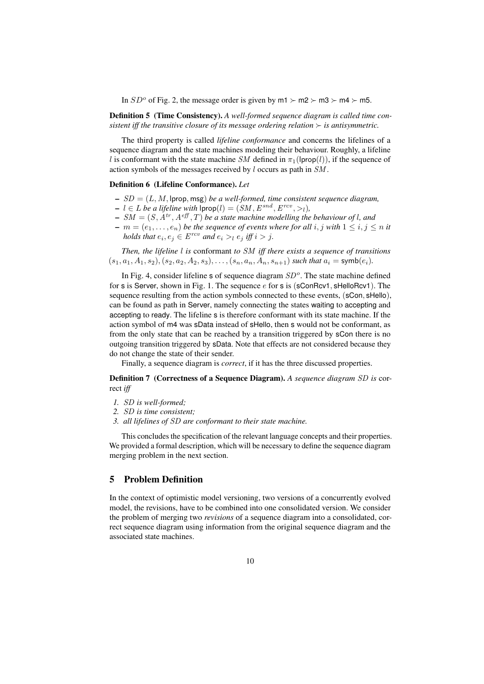In  $SD^{\circ}$  of Fig. 2, the message order is given by  $m1 \succ m2 \succ m3 \succ m4 \succ m5$ .

Definition 5 (Time Consistency). *A well-formed sequence diagram is called time consistent iff the transitive closure of its message ordering relation*  $\succ$  *is antisymmetric.* 

The third property is called *lifeline conformance* and concerns the lifelines of a sequence diagram and the state machines modeling their behaviour. Roughly, a lifeline l is conformant with the state machine SM defined in  $\pi_1(\text{lprop}(l))$ , if the sequence of action symbols of the messages received by l occurs as path in SM .

#### Definition 6 (Lifeline Conformance). *Let*

- SD = (L, M, lprop, msg) *be a well-formed, time consistent sequence diagram,*
- $\textit{−}$  *l* ∈ *L be a lifeline with*  $| \textsf{prop}(l) = (SM, E^{snd}, E^{rcv}, >_l)$ ,
- $-SM = (S, A^{tr}, A^{eff}, T)$  *be a state machine modelling the behaviour of l, and*
- $-m = (e_1, \ldots, e_n)$  *be the sequence of events where for all* i, j with  $1 \le i, j \le n$  it *holds that*  $e_i, e_j \in E^{rcv}$  *and*  $e_i >_l e_j$  *iff*  $i > j$ *.*

*Then, the lifeline* l *is* conformant *to* SM *iff there exists a sequence of transitions*  $(s_1, a_1, A_1, s_2), (s_2, a_2, A_2, s_3), \ldots, (s_n, a_n, A_n, s_{n+1})$  *such that*  $a_i = \text{symb}(e_i)$ *.* 

In Fig. 4, consider lifeline  $s$  of sequence diagram  $SD<sup>o</sup>$ . The state machine defined for s is Server, shown in Fig. 1. The sequence  $e$  for s is (sConRcv1, sHelloRcv1). The sequence resulting from the action symbols connected to these events, (sCon, sHello), can be found as path in Server, namely connecting the states waiting to accepting and accepting to ready. The lifeline s is therefore conformant with its state machine. If the action symbol of m4 was sData instead of sHello, then s would not be conformant, as from the only state that can be reached by a transition triggered by sCon there is no outgoing transition triggered by sData. Note that effects are not considered because they do not change the state of their sender.

Finally, a sequence diagram is *correct*, if it has the three discussed properties.

Definition 7 (Correctness of a Sequence Diagram). *A sequence diagram* SD *is* correct *iff*

- *1.* SD *is well-formed;*
- *2.* SD *is time consistent;*
- *3. all lifelines of* SD *are conformant to their state machine.*

This concludes the specification of the relevant language concepts and their properties. We provided a formal description, which will be necessary to define the sequence diagram merging problem in the next section.

# 5 Problem Definition

In the context of optimistic model versioning, two versions of a concurrently evolved model, the revisions, have to be combined into one consolidated version. We consider the problem of merging two *revisions* of a sequence diagram into a consolidated, correct sequence diagram using information from the original sequence diagram and the associated state machines.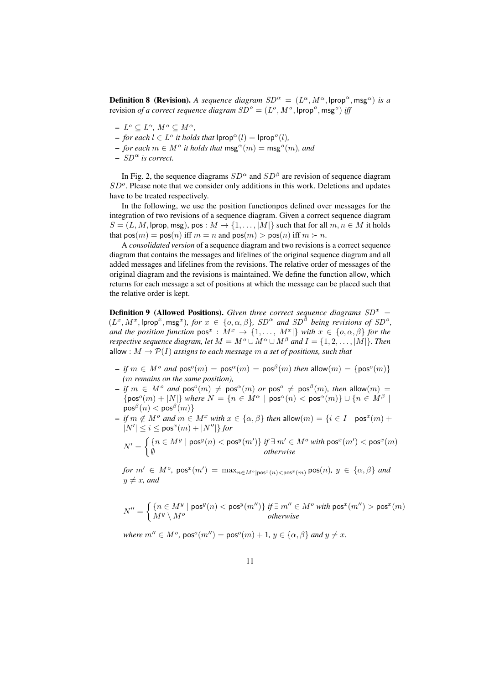**Definition 8 (Revision).** A sequence diagram  $SD^{\alpha} = (L^{\alpha}, M^{\alpha}, \text{lprop}^{\alpha}, \text{msg}^{\alpha})$  is a revision *of a correct sequence diagram*  $SD^o = (L^o, M^o, \textsf{lprop}^o, \textsf{msg}^o)$  *iff* 

- $L^o \subseteq L^{\alpha}, M^o \subseteq M^{\alpha},$
- $-$  *for each*  $l \in L^o$  *it holds that*  $\textsf{lprop}^{\alpha}(l) = \textsf{lprop}^{\alpha}(l)$ *,*
- $−$  *for each*  $m ∈ M^o$  *it holds that*  $\mathsf{msg}^\alpha(m) = \mathsf{msg}^o(m)$ *, and*
- $-$  SD<sup> $\alpha$ </sup> is correct.

In Fig. 2, the sequence diagrams  $SD^{\alpha}$  and  $SD^{\beta}$  are revision of sequence diagram  $SD<sup>o</sup>$ . Please note that we consider only additions in this work. Deletions and updates have to be treated respectively.

In the following, we use the position functionpos defined over messages for the integration of two revisions of a sequence diagram. Given a correct sequence diagram  $S = (L, M, \text{prop, msg}), \text{pos} : M \to \{1, \ldots, |M|\}$  such that for all  $m, n \in M$  it holds that  $pos(m) = pos(n)$  iff  $m = n$  and  $pos(m) > pos(n)$  iff  $m \succ n$ .

A *consolidated version* of a sequence diagram and two revisions is a correct sequence diagram that contains the messages and lifelines of the original sequence diagram and all added messages and lifelines from the revisions. The relative order of messages of the original diagram and the revisions is maintained. We define the function allow, which returns for each message a set of positions at which the message can be placed such that the relative order is kept.

**Definition 9 (Allowed Positions).** Given three correct sequence diagrams  $SD<sup>x</sup>$  =  $(L^x, M^x, \text{lprop}^x, \text{msg}^x)$ , for  $x \in \{o, \alpha, \beta\}$ ,  $SD^{\alpha}$  and  $SD^{\beta}$  being revisions of  $SD^{\delta}$ , *and the position function*  $pos^x : M^x \to \{1, ..., |M^x|\}$  *with*  $x \in \{0, \alpha, \beta\}$  *for the respective sequence diagram, let*  $M = M^o \cup M^\alpha \cup M^\beta$  *and*  $I = \{1, 2, \ldots, |M|\}$ *. Then* allow :  $M \to \mathcal{P}(I)$  *assigns to each message m a set of positions, such that* 

- $-$  *if*  $m \in M^o$  *and*  $pos^o(m) = pos^{\alpha}(m) = pos^{\beta}(m)$  *then* allow $(m) = \{pos^o(m)\}$ *(*m *remains on the same position),*
- $-$  *if*  $m \in M^o$  *and*  $pos^o(m) \neq pos^{\alpha}(m)$  *or*  $pos^o \neq pos^{\beta}(m)$ *, then* allow $(m) =$  $\{pos^o(m) + |N|\}$  *where*  $N = \{n \in M^{\alpha} \mid pos^{\alpha}(n) < pos^{\alpha}(m)\} \cup \{n \in M^{\beta} \mid N\}$  $\mathsf{pos}^{\beta}(n) < \mathsf{pos}^{\beta}(m) \}$
- $-$  *if*  $m \notin M^o$  *and*  $m \in M^x$  *with*  $x \in {\alpha, \beta}$  *then* allow $(m) = {i \in I \mid pos^x(m) + \beta}$  $|N'| \le i \le \text{pos}^x(m) + |N''|$ *for*

$$
N' = \left\{ \begin{matrix} \{n \in M^y \mid \text{pos}^y(n) < \text{pos}^y(m')\} \text{ if } \exists \hspace{0.5mm} m' \in M^o \text{ with } \text{pos}^x(m') < \text{pos}^x(m) \\ \emptyset \hspace{10mm} \text{otherwise} \end{matrix} \right.
$$

 $for m' \in M^o$ ,  $pos^x(m') = max_{n \in M^o | pos^x(n) < pos^x(m)} pos(n), y \in {\alpha, \beta}$  and  $y \neq x$ *, and* 

$$
N'' = \left\{ \begin{matrix} \{n \in M^y \mid \text{pos}^y(n) < \text{pos}^y(m'')\} \text{ if } \exists \text{ } m'' \in M^o \text{ with } \text{pos}^x(m'') > \text{pos}^x(m) \\ M^y \setminus M^o & otherwise \end{matrix} \right.
$$

*where*  $m'' \in M^o$ ,  $pos^o(m'') = pos^o(m) + 1$ ,  $y \in {\alpha, \beta}$  *and*  $y \neq x$ .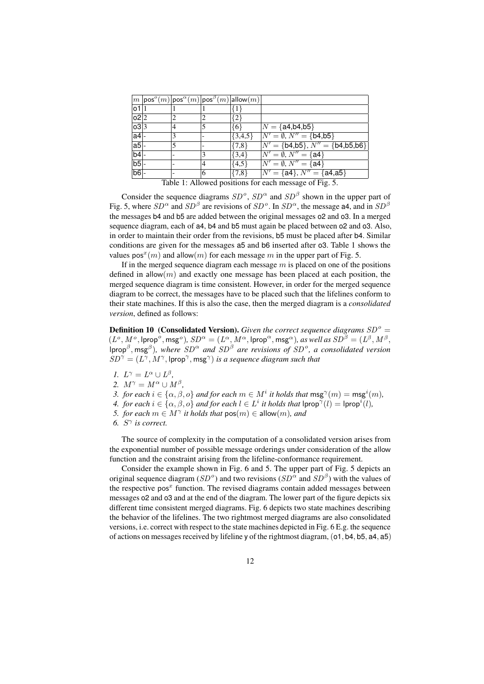|                                                        |  |   |   | $ m {\mathsf{pos}}^o(m) {\mathsf{pos}}^{\alpha}(m) {\mathsf{pos}}^{\overline{\beta}}(m) $ allow $(m)$ |                                       |  |  |  |  |
|--------------------------------------------------------|--|---|---|-------------------------------------------------------------------------------------------------------|---------------------------------------|--|--|--|--|
| 01                                                     |  |   |   |                                                                                                       |                                       |  |  |  |  |
| o2 2                                                   |  |   |   | {2}                                                                                                   |                                       |  |  |  |  |
| 03 3                                                   |  |   |   | {6}                                                                                                   | $ N = \{a4, b4, b5\}$                 |  |  |  |  |
| $ a4 $ -                                               |  |   |   | $\{3,4,5\}$                                                                                           | $N' = \emptyset, N'' = \{b4, b5\}$    |  |  |  |  |
| $a5 -$                                                 |  | 5 |   | ${7,8}$                                                                                               | $N' = \{b4,b5\}, N'' = \{b4,b5,b6\}\$ |  |  |  |  |
| $b4$ -                                                 |  |   |   | $\{3,4\}$                                                                                             | $N' = \emptyset, N'' = \{a4\}$        |  |  |  |  |
| $b5$ -                                                 |  |   | 4 | ${4.5}$                                                                                               | $N' = \emptyset, N'' = \{a4\}$        |  |  |  |  |
| b6                                                     |  |   | 6 | ${7,8}$                                                                                               | $N' = \{a4\}, N'' = \{a4, a5\}$       |  |  |  |  |
| Table 1: Allowed positions for each message of Fig. 5. |  |   |   |                                                                                                       |                                       |  |  |  |  |

Consider the sequence diagrams  $SD^{\circ}$ ,  $SD^{\alpha}$  and  $SD^{\beta}$  shown in the upper part of Fig. 5, where  $SD^{\alpha}$  and  $SD^{\beta}$  are revisions of  $SD^{\alpha}$ . In  $SD^{\alpha}$ , the message a4, and in  $SD^{\beta}$ the messages b4 and b5 are added between the original messages o2 and o3. In a merged sequence diagram, each of a4, b4 and b5 must again be placed between o2 and o3. Also, in order to maintain their order from the revisions, b5 must be placed after b4. Similar conditions are given for the messages a5 and b6 inserted after o3. Table 1 shows the

values  $pos^{x}(m)$  and allow $(m)$  for each message m in the upper part of Fig. 5.

If in the merged sequence diagram each message  $m$  is placed on one of the positions defined in allow $(m)$  and exactly one message has been placed at each position, the merged sequence diagram is time consistent. However, in order for the merged sequence diagram to be correct, the messages have to be placed such that the lifelines conform to their state machines. If this is also the case, then the merged diagram is a *consolidated version*, defined as follows:

**Definition 10 (Consolidated Version).** Given the correct sequence diagrams  $SD^o =$  $(L^o, M^o, \text{lprop}^o, \text{msg}^o), SD^{\alpha} = (L^{\alpha}, M^{\alpha}, \text{lprop}^{\alpha}, \text{msg}^{\alpha}), \text{ as well as } SD^{\beta} = (L^{\beta}, M^{\beta},$  $\langle \rho \rho \rho^{\beta}, \rho \rho \rho^{\beta} \rangle$ , where  $SD^{\alpha}$  and  $SD^{\beta}$  are revisions of  $SD^{\alpha}$ , a consolidated version  $SD^{\gamma} = (L^{\gamma}, M^{\gamma},$ lprop<sup> $\gamma$ </sup>, msg $^{\gamma})$  *is a sequence diagram such that* 

- *1.*  $L^{\gamma} = L^{\alpha} \cup L^{\beta}$ ,
- 2.  $M^{\gamma} = M^{\alpha} \cup M^{\beta}$ ,
- *3. for each*  $i \in \{\alpha, \beta, o\}$  *and for each*  $m \in M^i$  *it holds that*  $\mathsf{msg}^\gamma(m) = \mathsf{msg}^i(m)$ *,*
- *4. for each*  $i \in {\alpha, \beta, o}$  *and for each*  $l \in L^i$  *it holds that*  $\textsf{prop}^{\gamma}(l) = \textsf{prop}^i(l)$ *,*
- *5. for each*  $m \in M^{\gamma}$  *it holds that*  $pos(m) \in$  allow $(m)$ *, and*
- 6.  $S^{\gamma}$  is correct.

The source of complexity in the computation of a consolidated version arises from the exponential number of possible message orderings under consideration of the allow function and the constraint arising from the lifeline-conformance requirement.

Consider the example shown in Fig. 6 and 5. The upper part of Fig. 5 depicts an original sequence diagram (SD<sup>o</sup>) and two revisions (SD<sup> $\alpha$ </sup> and SD<sup> $\beta$ </sup>) with the values of the respective pos<sup> $x$ </sup> function. The revised diagrams contain added messages between messages o2 and o3 and at the end of the diagram. The lower part of the figure depicts six different time consistent merged diagrams. Fig. 6 depicts two state machines describing the behavior of the lifelines. The two rightmost merged diagrams are also consolidated versions, i.e. correct with respect to the state machines depicted in Fig. 6 E.g. the sequence of actions on messages received by lifeline y of the rightmost diagram,(o1, b4, b5, a4, a5)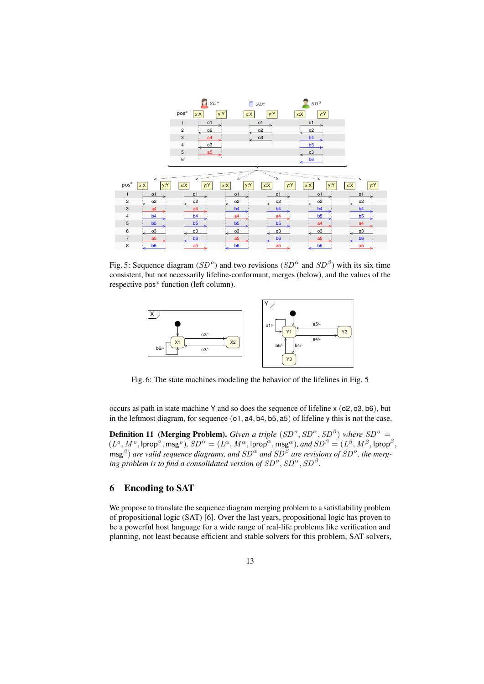|                  |                | $SD^{\alpha}$             | ⊓<br>SD <sup>o</sup> |                | $SD^{\beta}$   |                |
|------------------|----------------|---------------------------|----------------------|----------------|----------------|----------------|
|                  |                | $\mathsf{pos}^x$<br>x:X   | y:Y<br>x:X           | y:Y<br>x:X     | y:Y            |                |
|                  |                | 1<br>o1                   | o1                   |                | o1             |                |
|                  |                | $\overline{c}$<br>02<br>× | 0 <sup>2</sup>       |                | 02             |                |
|                  |                | 3<br>a <sub>4</sub>       | o3                   |                | b4             |                |
|                  |                | o3<br>$\overline{4}$      |                      |                | b <sub>5</sub> |                |
|                  |                | 5<br>a <sub>5</sub>       |                      |                | o <sub>3</sub> |                |
|                  |                | 6                         |                      |                | b <sub>6</sub> |                |
|                  |                |                           |                      | .              |                |                |
|                  |                |                           |                      | $\Delta^{(m)}$ | <b>Common</b>  |                |
| $\mathsf{pos}^x$ | x:X            | x: X                      | y:Y<br>x:X           | x:X<br>x:X     | y:Y            | y:Y<br>x:X     |
| 1                | o1             | o1                        | o <sub>1</sub>       | o <sub>1</sub> | o1             | o1             |
| $\overline{c}$   | 02             | 02                        | 02<br>≼              | 02             | 02             | 02             |
| 3                | a <sub>4</sub> | a <sub>4</sub>            | b4                   | b4             | b4             | b <sub>4</sub> |
| 4                | b <sub>4</sub> | b <sub>4</sub>            | a4                   | a4             | b <sub>5</sub> | b <sub>5</sub> |
| 5                | b5             | b5                        | b5                   | b5             | a <sub>4</sub> | a4             |
| 6                |                |                           |                      |                |                | o3             |
|                  | o3             | o3<br>↞                   | о3<br>⋖              | o3             | o3             |                |
| $\overline{7}$   | a <sub>5</sub> | b <sub>6</sub>            | a <sub>5</sub>       | b <sub>6</sub> | a <sub>5</sub> | b <sub>6</sub> |

Fig. 5: Sequence diagram (SD<sup>o</sup>) and two revisions (SD<sup> $\alpha$ </sup> and SD<sup>B</sup>) with its six time consistent, but not necessarily lifeline-conformant, merges (below), and the values of the respective  $pos<sup>x</sup>$  function (left column).



Fig. 6: The state machines modeling the behavior of the lifelines in Fig. 5

occurs as path in state machine Y and so does the sequence of lifeline x (o2, o3, b6), but in the leftmost diagram, for sequence ( $o1$ ,  $a4$ ,  $b4$ ,  $b5$ ,  $a5$ ) of lifeline y this is not the case.

**Definition 11 (Merging Problem).** *Given a triple*  $(SD^o, SD^{\alpha}, SD^{\beta})$  where  $SD^o$  =  $(L^o, M^o, \text{lprop}^o, \text{msg}^o), SD^{\alpha} = (L^{\alpha}, M^{\alpha}, \text{lprop}^{\alpha}, \text{msg}^{\alpha}), and SD^{\beta} = (L^{\beta}, M^{\beta}, \text{lprop}^{\beta},$  $\mathsf{msg}^{\beta}$ ) are valid sequence diagrams, and  $SD^{\alpha}$  and  $SD^{\bar{\beta}}$  are revisions of  $SD^o$ , the merging problem is to find a consolidated version of  $SD^o$ ,  $SD^\alpha$ ,  $SD^\beta$ .

## 6 Encoding to SAT

We propose to translate the sequence diagram merging problem to a satisfiability problem of propositional logic (SAT) [6]. Over the last years, propositional logic has proven to be a powerful host language for a wide range of real-life problems like verification and planning, not least because efficient and stable solvers for this problem, SAT solvers,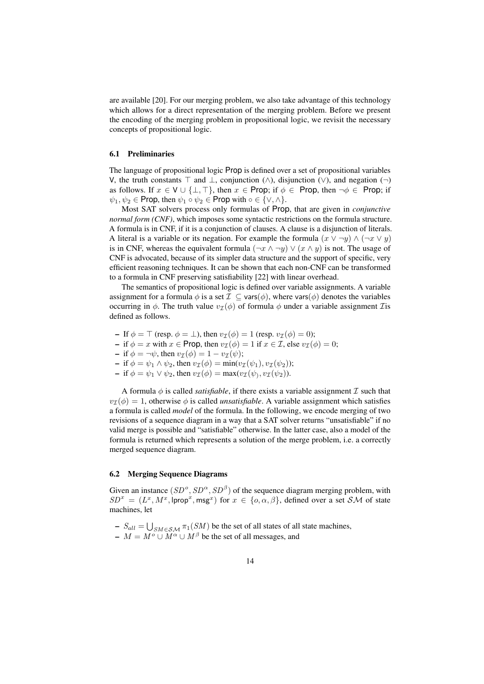are available [20]. For our merging problem, we also take advantage of this technology which allows for a direct representation of the merging problem. Before we present the encoding of the merging problem in propositional logic, we revisit the necessary concepts of propositional logic.

#### 6.1 Preliminaries

The language of propositional logic Prop is defined over a set of propositional variables V, the truth constants  $\top$  and  $\bot$ , conjunction (∧), disjunction (∨), and negation (¬) as follows. If  $x \in V \cup \{\perp, \perp\}$ , then  $x \in \text{Prop}$ ; if  $\phi \in \text{Prop}$ , then  $\neg \phi \in \text{Prop}$ ; if  $\psi_1, \psi_2 \in \text{Prop, then } \psi_1 \circ \psi_2 \in \text{Prop with } \circ \in \{\vee, \wedge\}.$ 

Most SAT solvers process only formulas of Prop, that are given in *conjunctive normal form (CNF)*, which imposes some syntactic restrictions on the formula structure. A formula is in CNF, if it is a conjunction of clauses. A clause is a disjunction of literals. A literal is a variable or its negation. For example the formula  $(x \vee \neg y) \wedge (\neg x \vee y)$ is in CNF, whereas the equivalent formula  $(\neg x \land \neg y) \lor (x \land y)$  is not. The usage of CNF is advocated, because of its simpler data structure and the support of specific, very efficient reasoning techniques. It can be shown that each non-CNF can be transformed to a formula in CNF preserving satisfiability [22] with linear overhead.

The semantics of propositional logic is defined over variable assignments. A variable assignment for a formula  $\phi$  is a set  $\mathcal{I} \subseteq \text{vars}(\phi)$ , where vars $(\phi)$  denotes the variables occurring in  $\phi$ . The truth value  $v_{\mathcal{I}}(\phi)$  of formula  $\phi$  under a variable assignment *T* is defined as follows.

- If  $\phi = \top$  (resp.  $\phi = \bot$ ), then  $v_{\mathcal{I}}(\phi) = 1$  (resp.  $v_{\mathcal{I}}(\phi) = 0$ );
- if  $\phi = x$  with  $x \in \text{Prop}$ , then  $v_{\mathcal{I}}(\phi) = 1$  if  $x \in \mathcal{I}$ , else  $v_{\mathcal{I}}(\phi) = 0$ ;
- if  $\phi = \neg \psi$ , then  $v_{\mathcal{I}}(\phi) = 1 v_{\mathcal{I}}(\psi)$ ;
- if  $\phi = \psi_1 \wedge \psi_2$ , then  $v_{\mathcal{I}}(\phi) = \min(v_{\mathcal{I}}(\psi_1), v_{\mathcal{I}}(\psi_2))$ ;
- $-$  if  $\phi = \psi_1 \vee \psi_2$ , then  $v_{\mathcal{I}}(\phi) = \max(v_{\mathcal{I}}(\psi_1, v_{\mathcal{I}}(\psi_2)).$

A formula  $\phi$  is called *satisfiable*, if there exists a variable assignment  $\mathcal I$  such that  $v_{\mathcal{T}}(\phi) = 1$ , otherwise  $\phi$  is called *unsatisfiable*. A variable assignment which satisfies a formula is called *model* of the formula. In the following, we encode merging of two revisions of a sequence diagram in a way that a SAT solver returns "unsatisfiable" if no valid merge is possible and "satisfiable" otherwise. In the latter case, also a model of the formula is returned which represents a solution of the merge problem, i.e. a correctly merged sequence diagram.

#### 6.2 Merging Sequence Diagrams

Given an instance  $(SD^{\circ}, SD^{\alpha}, SD^{\beta})$  of the sequence diagram merging problem, with  $SD^{x} = (L^{x}, M^{x}, \text{lprop}^{x}, \text{msg}^{x})$  for  $x \in \{o, \alpha, \beta\}$ , defined over a set SM of state machines, let

- $-S_{all} = \bigcup_{SM \in SM} \pi_1(SM)$  be the set of all states of all state machines,
- $M = M^{\circ} \cup M^{\alpha} \cup M^{\beta}$  be the set of all messages, and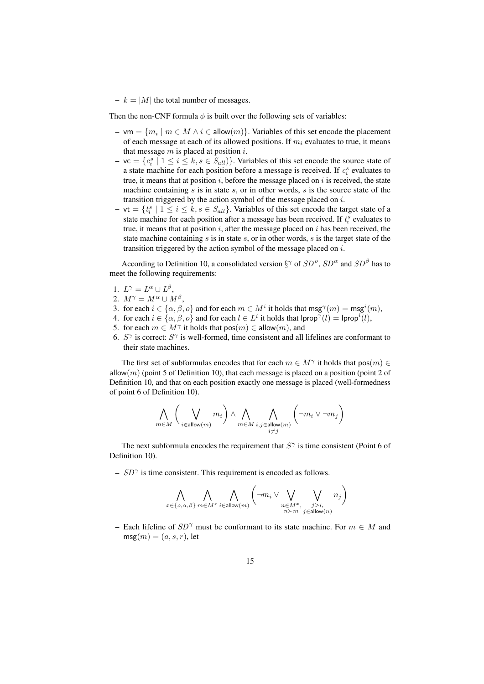$- k = |M|$  the total number of messages.

Then the non-CNF formula  $\phi$  is built over the following sets of variables:

- $\text{-}$  vm = { $m_i \mid m \in M \land i \in \text{allow}(m)$ }. Variables of this set encode the placement of each message at each of its allowed positions. If  $m_i$  evaluates to true, it means that message  $m$  is placed at position  $i$ .
- $\mathbf{-}$  vc =  $\{c_i^s \mid 1 \le i \le k, s \in S_{all}\}\$ . Variables of this set encode the source state of a state machine for each position before a message is received. If  $c_i^s$  evaluates to true, it means that at position  $i$ , before the message placed on  $i$  is received, the state machine containing  $s$  is in state  $s$ , or in other words,  $s$  is the source state of the transition triggered by the action symbol of the message placed on  $i$ .
- $\mathbf{v} \mathbf{v} = \{t_i^s \mid 1 \leq i \leq k, s \in S_{all}\}.$  Variables of this set encode the target state of a state machine for each position after a message has been received. If  $t_i^s$  evaluates to true, it means that at position  $i$ , after the message placed on  $i$  has been received, the state machine containing s is in state s, or in other words, s is the target state of the transition triggered by the action symbol of the message placed on  $i$ .

According to Definition 10, a consolidated version  $\S^{\gamma}$  of  $SD^{\circ}$ ,  $SD^{\alpha}$  and  $SD^{\beta}$  has to meet the following requirements:

- 1.  $L^{\gamma} = L^{\alpha} \cup L^{\beta}$ ,
- 2.  $M^{\gamma} = M^{\alpha} \cup M^{\beta}$ ,
- 3. for each  $i \in \{\alpha, \beta, \delta\}$  and for each  $m \in M^i$  it holds that  $\mathsf{msg}^\gamma(m) = \mathsf{msg}^i(m)$ ,
- 4. for each  $i \in {\alpha, \beta, \alpha}$  and for each  $l \in L^i$  it holds that  $|prop^{\gamma}(l)| = |prop^i(l)|$ ,
- 5. for each  $m \in M^{\gamma}$  it holds that  $pos(m) \in$  allow $(m)$ , and
- 6.  $S^{\gamma}$  is correct:  $S^{\gamma}$  is well-formed, time consistent and all lifelines are conformant to their state machines.

The first set of subformulas encodes that for each  $m \in M^{\gamma}$  it holds that  $pos(m) \in M^{\gamma}$ allow $(m)$  (point 5 of Definition 10), that each message is placed on a position (point 2 of Definition 10, and that on each position exactly one message is placed (well-formedness of point 6 of Definition 10).

$$
\bigwedge_{m\in M}\bigg(\bigvee_{i\in\mathrm{allow}(m)}m_i\bigg)\land\bigwedge_{m\in M}\bigwedge_{\substack{i,j\in\mathrm{allow}(m)\\i\neq j}}\bigg(\neg m_i\vee\neg m_j\bigg)
$$

The next subformula encodes the requirement that  $S^{\gamma}$  is time consistent (Point 6 of Definition 10).

 $- SD^{\gamma}$  is time consistent. This requirement is encoded as follows.

$$
\bigwedge_{x \in \{o,\alpha,\beta\}}\bigwedge_{m \in M^x} \bigwedge_{i \in \text{allow}(m)} \left( \neg m_i \vee \bigvee_{\substack{n \in M^x, \\ n \succ m}}, \bigvee_{\substack{j>i, \\ j \in \text{allow}(n)}} n_j \right)
$$

– Each lifeline of  $SD^{\gamma}$  must be conformant to its state machine. For  $m \in M$  and  $\text{msg}(m) = (a, s, r)$ , let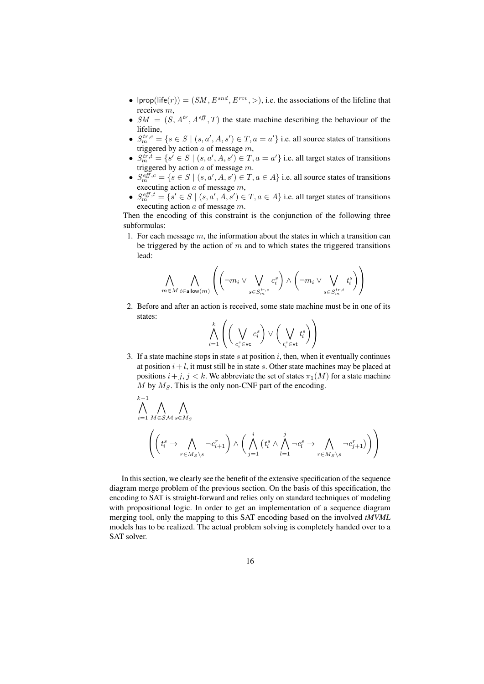- Iprop(life(r)) =  $(SM, E^{snd}, E^{rcv},>)$ , i.e. the associations of the lifeline that receives m,
- $SM = (S, A^{tr}, A^{eff}, T)$  the state machine describing the behaviour of the lifeline,
- $S_m^{tr,c} = \{ s \in S \mid (s, a', A, s') \in T, a = a' \}$  i.e. all source states of transitions triggered by action  $a$  of message  $m$ ,
- $S_m^{tr,t} = \{s' \in S \mid (s, a', A, s') \in T, a = a'\}$  i.e. all target states of transitions triggered by action  $a$  of message  $m$ .
- $S_m^{eff,c} = \{ s \in S \mid (s, a', A, s') \in T, a \in A \}$  i.e. all source states of transitions executing action  $a$  of message  $m$ ,
- $S_m^{eff,t} = \{s' \in S \mid (s, a', A, s') \in T, a \in A\}$  i.e. all target states of transitions executing action  $a$  of message  $m$ .

Then the encoding of this constraint is the conjunction of the following three subformulas:

1. For each message  $m$ , the information about the states in which a transition can be triggered by the action of  $m$  and to which states the triggered transitions lead:

$$
\bigwedge_{m\in M}\bigwedge_{i\in\mathsf{allow}(m)}\left(\left(\neg m_i\vee\bigvee_{s\in S^{tr,c}_m}c^s_i\right)\wedge\left(\neg m_i\vee\bigvee_{s\in S^{tr,t}_m}t^s_i\right)\right)
$$

2. Before and after an action is received, some state machine must be in one of its states:

$$
\bigwedge_{i=1}^k \left(\bigg(\bigvee_{c_i^s \in \mathsf{vc}} c_i^s\bigg) \vee \bigg(\bigvee_{t_i^s \in \mathsf{vt}} t_i^s\bigg)\right)
$$

3. If a state machine stops in state  $s$  at position  $i$ , then, when it eventually continues at position  $i + l$ , it must still be in state s. Other state machines may be placed at positions  $i+j$ ,  $j < k$ . We abbreviate the set of states  $\pi_1(M)$  for a state machine  $M$  by  $M_S$ . This is the only non-CNF part of the encoding.

$$
\bigwedge_{i=1}^{k-1} \bigwedge_{M \in \mathcal{SM}} \bigwedge_{s \in M_S} \bigwedge_{\gamma \in \mathcal{M}_S \setminus s} \neg c_{i+1}^r \bigg) \land \bigg( \bigwedge_{j=1}^i \left( t_i^s \land \bigwedge_{l=1}^j \neg c_l^s \to \bigwedge_{r \in M_S \setminus s} \neg c_{j+1}^r \right) \bigg) \bigg)
$$

In this section, we clearly see the benefit of the extensive specification of the sequence diagram merge problem of the previous section. On the basis of this specification, the encoding to SAT is straight-forward and relies only on standard techniques of modeling with propositional logic. In order to get an implementation of a sequence diagram merging tool, only the mapping to this SAT encoding based on the involved *tMVML* models has to be realized. The actual problem solving is completely handed over to a SAT solver.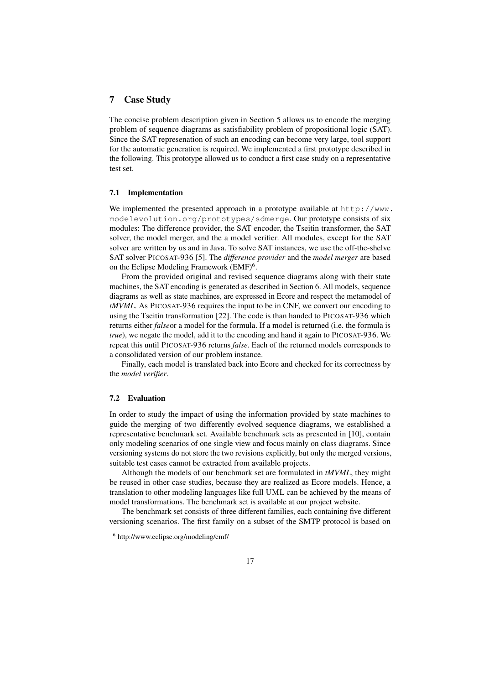### 7 Case Study

The concise problem description given in Section 5 allows us to encode the merging problem of sequence diagrams as satisfiability problem of propositional logic (SAT). Since the SAT represenation of such an encoding can become very large, tool support for the automatic generation is required. We implemented a first prototype described in the following. This prototype allowed us to conduct a first case study on a representative test set.

#### 7.1 Implementation

We implemented the presented approach in a prototype available at  $http://www.$ modelevolution.org/prototypes/sdmerge. Our prototype consists of six modules: The difference provider, the SAT encoder, the Tseitin transformer, the SAT solver, the model merger, and the a model verifier. All modules, except for the SAT solver are written by us and in Java. To solve SAT instances, we use the off-the-shelve SAT solver PICOSAT-936 [5]. The *difference provider* and the *model merger* are based on the Eclipse Modeling Framework (EMF)<sup>6</sup>.

From the provided original and revised sequence diagrams along with their state machines, the SAT encoding is generated as described in Section 6. All models, sequence diagrams as well as state machines, are expressed in Ecore and respect the metamodel of *tMVML*. As PICOSAT-936 requires the input to be in CNF, we convert our encoding to using the Tseitin transformation [22]. The code is than handed to PICOSAT-936 which returns either *false*or a model for the formula. If a model is returned (i.e. the formula is *true*), we negate the model, add it to the encoding and hand it again to PICOSAT-936. We repeat this until PICOSAT-936 returns *false*. Each of the returned models corresponds to a consolidated version of our problem instance.

Finally, each model is translated back into Ecore and checked for its correctness by the *model verifier*.

#### 7.2 Evaluation

In order to study the impact of using the information provided by state machines to guide the merging of two differently evolved sequence diagrams, we established a representative benchmark set. Available benchmark sets as presented in [10], contain only modeling scenarios of one single view and focus mainly on class diagrams. Since versioning systems do not store the two revisions explicitly, but only the merged versions, suitable test cases cannot be extracted from available projects.

Although the models of our benchmark set are formulated in *tMVML*, they might be reused in other case studies, because they are realized as Ecore models. Hence, a translation to other modeling languages like full UML can be achieved by the means of model transformations. The benchmark set is available at our project website.

The benchmark set consists of three different families, each containing five different versioning scenarios. The first family on a subset of the SMTP protocol is based on

<sup>6</sup> http://www.eclipse.org/modeling/emf/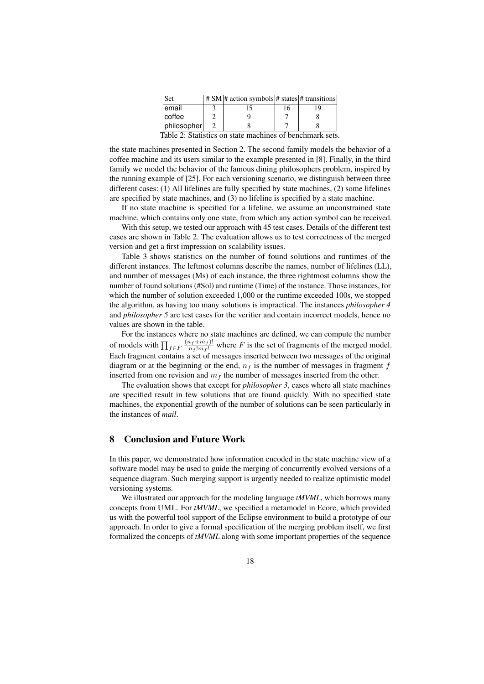| Set                                                      |  | $  # SM $ # action symbols # states # transitions |   |  |  |  |  |  |  |
|----------------------------------------------------------|--|---------------------------------------------------|---|--|--|--|--|--|--|
| email                                                    |  |                                                   | რ |  |  |  |  |  |  |
| coffee                                                   |  |                                                   |   |  |  |  |  |  |  |
| philosopher                                              |  |                                                   |   |  |  |  |  |  |  |
| Toble 2. Statistics on state magbings of hangkmaght gate |  |                                                   |   |  |  |  |  |  |  |

Table 2: Statistics on state machines of benchmark sets.

the state machines presented in Section 2. The second family models the behavior of a coffee machine and its users similar to the example presented in [8]. Finally, in the third family we model the behavior of the famous dining philosophers problem, inspired by the running example of [25]. For each versioning scenario, we distinguish between three different cases: (1) All lifelines are fully specified by state machines, (2) some lifelines are specified by state machines, and (3) no lifeline is specified by a state machine.

If no state machine is specified for a lifeline, we assume an unconstrained state machine, which contains only one state, from which any action symbol can be received.

With this setup, we tested our approach with 45 test cases. Details of the different test cases are shown in Table 2. The evaluation allows us to test correctness of the merged version and get a first impression on scalability issues.

Table 3 shows statistics on the number of found solutions and runtimes of the different instances. The leftmost columns describe the names, number of lifelines (LL), and number of messages (Ms) of each instance, the three rightmost columns show the number of found solutions (#Sol) and runtime (Time) of the instance. Those instances, for which the number of solution exceeded 1,000 or the runtime exceeded 100s, we stopped the algorithm, as having too many solutions is impractical. The instances *philosopher 4* and *philosopher 5* are test cases for the verifier and contain incorrect models, hence no values are shown in the table.

For the instances where no state machines are defined, we can compute the number of models with  $\prod_{f \in F} \frac{(n_f + m_f)!}{n_f! m_f!}$  where F is the set of fragments of the merged model. Each fragment contains a set of messages inserted between two messages of the original diagram or at the beginning or the end,  $n_f$  is the number of messages in fragment f inserted from one revision and  $m<sub>f</sub>$  the number of messages inserted from the other.

The evaluation shows that except for *philosopher 3*, cases where all state machines are specified result in few solutions that are found quickly. With no specified state machines, the exponential growth of the number of solutions can be seen particularly in the instances of *mail*.

### 8 Conclusion and Future Work

In this paper, we demonstrated how information encoded in the state machine view of a software model may be used to guide the merging of concurrently evolved versions of a sequence diagram. Such merging support is urgently needed to realize optimistic model versioning systems.

We illustrated our approach for the modeling language *tMVML*, which borrows many concepts from UML. For *tMVML*, we specified a metamodel in Ecore, which provided us with the powerful tool support of the Eclipse environment to build a prototype of our approach. In order to give a formal specification of the merging problem itself, we first formalized the concepts of *tMVML* along with some important properties of the sequence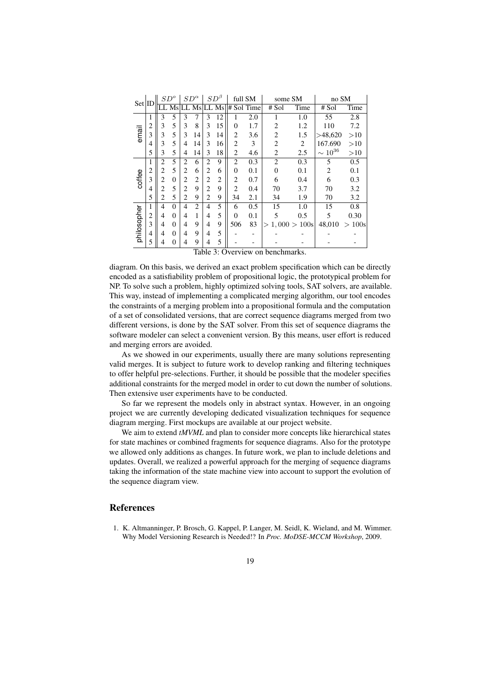| Set ID      |                | $SD^{o}$       |                | $SD^{\alpha}$  |                | $SD^{\beta}$                |                | full SM        |     | some SM        |              | no SM          |       |
|-------------|----------------|----------------|----------------|----------------|----------------|-----------------------------|----------------|----------------|-----|----------------|--------------|----------------|-------|
|             |                |                | Ms             |                | Ms             | LL.                         | Ms             | # Sol Time     |     | # Sol          | Time         | # Sol          | Time  |
|             | 1              | 3              | 5              | 3              | 7              | 3                           | 12             |                | 2.0 |                | 1.0          | 55             | 2.8   |
|             | 2              | 3              | 5              | 3              | 8              | 3                           | 15             | $\theta$       | 1.7 | 2              | 1.2          | 110            | 7.2   |
| email       | 3              | 3              | 5              | 3              | 14             | 3                           | 14             | 2              | 3.6 | $\overline{2}$ | 1.5          | >48,620        | >10   |
|             | 4              | 3              | 5              | 4              | 14             | 3                           | 16             | 2              | 3   | $\overline{2}$ | 2            | 167.690        | >10   |
|             | 5              | 3              | 5              | 4              | 14             | 3                           | 18             | $\overline{c}$ | 4.6 | $\overline{2}$ | 2.5          | $\sim 10^{36}$ | >10   |
|             | 1              | $\overline{2}$ | 5              | 2              | 6              | $\overline{c}$              | 9              | 2              | 0.3 | $\overline{2}$ | 0.3          | 5              | 0.5   |
|             | $\overline{2}$ | $\overline{2}$ | 5              | $\overline{c}$ | 6              | 2                           | 6              | $\theta$       | 0.1 | $\overline{0}$ | 0.1          | $\overline{c}$ | 0.1   |
| coffee      | 3              | $\overline{c}$ | $\overline{0}$ | 2              | 2              | 2                           | $\overline{2}$ | $\overline{2}$ | 0.7 | 6              | 0.4          | 6              | 0.3   |
|             | 4              | 2              | 5              | 2              | 9              | $\mathcal{D}_{\mathcal{L}}$ | 9              | $\overline{c}$ | 0.4 | 70             | 3.7          | 70             | 3.2   |
|             | 5              | $\overline{2}$ | 5              | $\overline{c}$ | 9              | $\overline{c}$              | 9              | 34             | 2.1 | 34             | 1.9          | 70             | 3.2   |
|             | 1              | $\overline{4}$ | $\theta$       | 4              | $\mathfrak{D}$ | $\overline{4}$              | 5              | 6              | 0.5 | 15             | 1.0          | 15             | 0.8   |
| philosopher | 2              | $\overline{4}$ | $\theta$       | 4              | 1              | 4                           | 5              | $\theta$       | 0.1 | 5              | 0.5          | 5              | 0.30  |
|             | 3              | 4              | $\theta$       | 4              | 9              | 4                           | 9              | 506            | 83  | $\rm{>}$       | 1,000 > 100s | 48,010         | >100s |
|             | 4              | 4              | $\overline{0}$ | 4              | 9              | 4                           | 5              |                |     |                |              |                |       |
|             | 5              | 4              | 0              | 4              | 9              | 4                           | 5              |                |     |                |              |                |       |

Table 3: Overview on benchmarks.

diagram. On this basis, we derived an exact problem specification which can be directly encoded as a satisfiability problem of propositional logic, the prototypical problem for NP. To solve such a problem, highly optimized solving tools, SAT solvers, are available. This way, instead of implementing a complicated merging algorithm, our tool encodes the constraints of a merging problem into a propositional formula and the computation of a set of consolidated versions, that are correct sequence diagrams merged from two different versions, is done by the SAT solver. From this set of sequence diagrams the software modeler can select a convenient version. By this means, user effort is reduced and merging errors are avoided.

As we showed in our experiments, usually there are many solutions representing valid merges. It is subject to future work to develop ranking and filtering techniques to offer helpful pre-selections. Further, it should be possible that the modeler specifies additional constraints for the merged model in order to cut down the number of solutions. Then extensive user experiments have to be conducted.

So far we represent the models only in abstract syntax. However, in an ongoing project we are currently developing dedicated visualization techniques for sequence diagram merging. First mockups are available at our project website.

We aim to extend *tMVML* and plan to consider more concepts like hierarchical states for state machines or combined fragments for sequence diagrams. Also for the prototype we allowed only additions as changes. In future work, we plan to include deletions and updates. Overall, we realized a powerful approach for the merging of sequence diagrams taking the information of the state machine view into account to support the evolution of the sequence diagram view.

#### References

1. K. Altmanninger, P. Brosch, G. Kappel, P. Langer, M. Seidl, K. Wieland, and M. Wimmer. Why Model Versioning Research is Needed!? In *Proc. MoDSE-MCCM Workshop*, 2009.